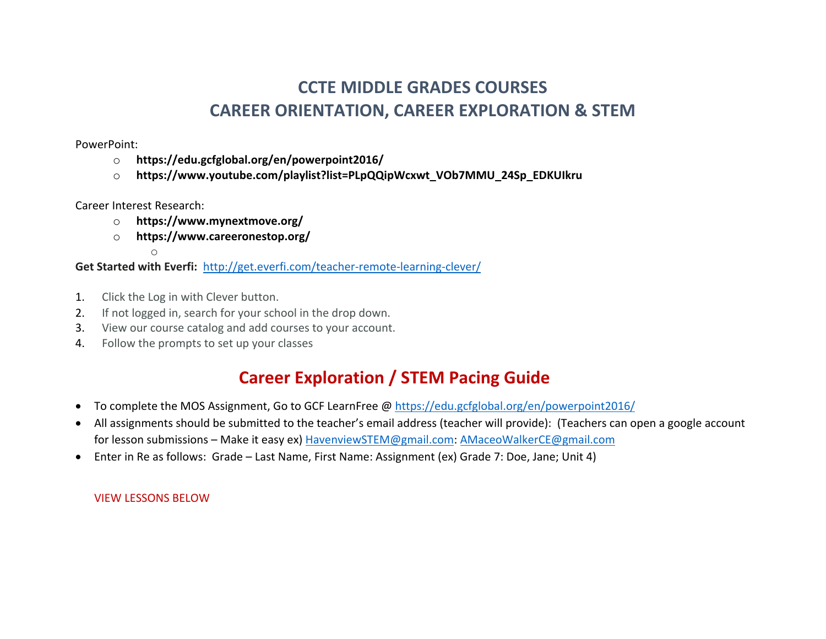## **CCTE MIDDLE GRADES COURSES CAREER ORIENTATION, CAREER EXPLORATION & STEM**

PowerPoint:

- o **https://edu.gcfglobal.org/en/powerpoint2016/**
- o **https://www.youtube.com/playlist?list=PLpQQipWcxwt\_VOb7MMU\_24Sp\_EDKUIkru**

Career Interest Research:

- o **https://www.mynextmove.org/**
- o **https://www.careeronestop.org/**

o

**Get Started with Everfi:** http://get.everfi.com/teacher-remote-learning-clever/

- 1. Click the Log in with Clever button.
- 2. If not logged in, search for your school in the drop down.
- 3. View our course catalog and add courses to your account.
- 4. Follow the prompts to set up your classes

## **Career Exploration / STEM Pacing Guide**

- To complete the MOS Assignment, Go to GCF LearnFree @ https://edu.gcfglobal.org/en/powerpoint2016/
- All assignments should be submitted to the teacher's email address (teacher will provide): (Teachers can open a google account for lesson submissions – Make it easy ex) HavenviewSTEM@gmail.com: AMaceoWalkerCE@gmail.com
- Enter in Re as follows: Grade Last Name, First Name: Assignment (ex) Grade 7: Doe, Jane; Unit 4)

VIEW LESSONS BELOW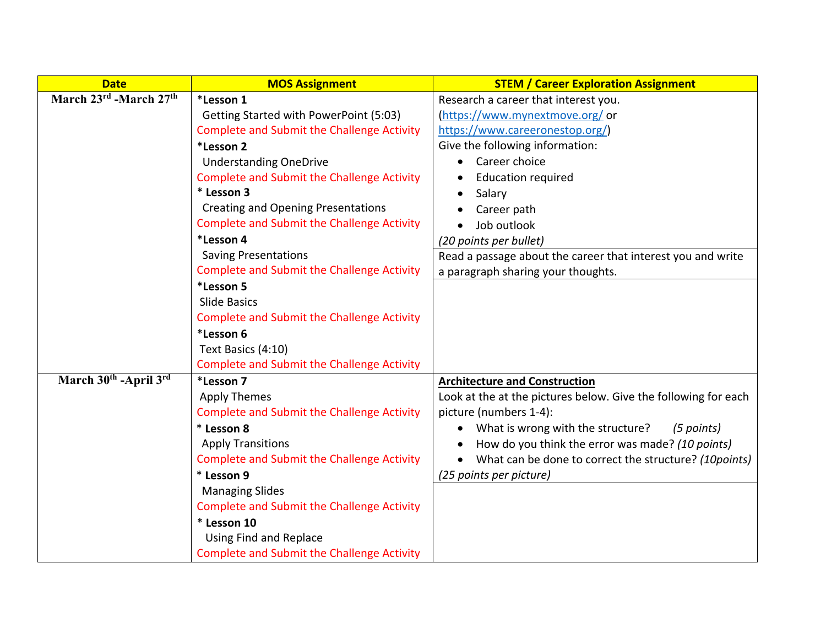| <b>Date</b>            | <b>MOS Assignment</b>                             | <b>STEM / Career Exploration Assignment</b>                    |
|------------------------|---------------------------------------------------|----------------------------------------------------------------|
| March 23rd -March 27th | *Lesson 1                                         | Research a career that interest you.                           |
|                        | Getting Started with PowerPoint (5:03)            | (https://www.mynextmove.org/or                                 |
|                        | <b>Complete and Submit the Challenge Activity</b> | https://www.careeronestop.org/)                                |
|                        | *Lesson 2                                         | Give the following information:                                |
|                        | <b>Understanding OneDrive</b>                     | Career choice                                                  |
|                        | <b>Complete and Submit the Challenge Activity</b> | <b>Education required</b>                                      |
|                        | * Lesson 3                                        | Salary                                                         |
|                        | <b>Creating and Opening Presentations</b>         | Career path                                                    |
|                        | <b>Complete and Submit the Challenge Activity</b> | Job outlook                                                    |
|                        | *Lesson 4                                         | (20 points per bullet)                                         |
|                        | <b>Saving Presentations</b>                       | Read a passage about the career that interest you and write    |
|                        | <b>Complete and Submit the Challenge Activity</b> | a paragraph sharing your thoughts.                             |
|                        | *Lesson 5                                         |                                                                |
|                        | Slide Basics                                      |                                                                |
|                        | <b>Complete and Submit the Challenge Activity</b> |                                                                |
|                        | *Lesson 6                                         |                                                                |
|                        | Text Basics (4:10)                                |                                                                |
|                        | <b>Complete and Submit the Challenge Activity</b> |                                                                |
| March 30th -April 3rd  | *Lesson 7                                         | <b>Architecture and Construction</b>                           |
|                        | <b>Apply Themes</b>                               | Look at the at the pictures below. Give the following for each |
|                        | <b>Complete and Submit the Challenge Activity</b> | picture (numbers 1-4):                                         |
|                        | * Lesson 8                                        | What is wrong with the structure?<br>(5 points)                |
|                        | <b>Apply Transitions</b>                          | How do you think the error was made? (10 points)               |
|                        | <b>Complete and Submit the Challenge Activity</b> | What can be done to correct the structure? (10points)          |
|                        | * Lesson 9                                        | (25 points per picture)                                        |
|                        | <b>Managing Slides</b>                            |                                                                |
|                        | <b>Complete and Submit the Challenge Activity</b> |                                                                |
|                        | * Lesson 10                                       |                                                                |
|                        | <b>Using Find and Replace</b>                     |                                                                |
|                        | <b>Complete and Submit the Challenge Activity</b> |                                                                |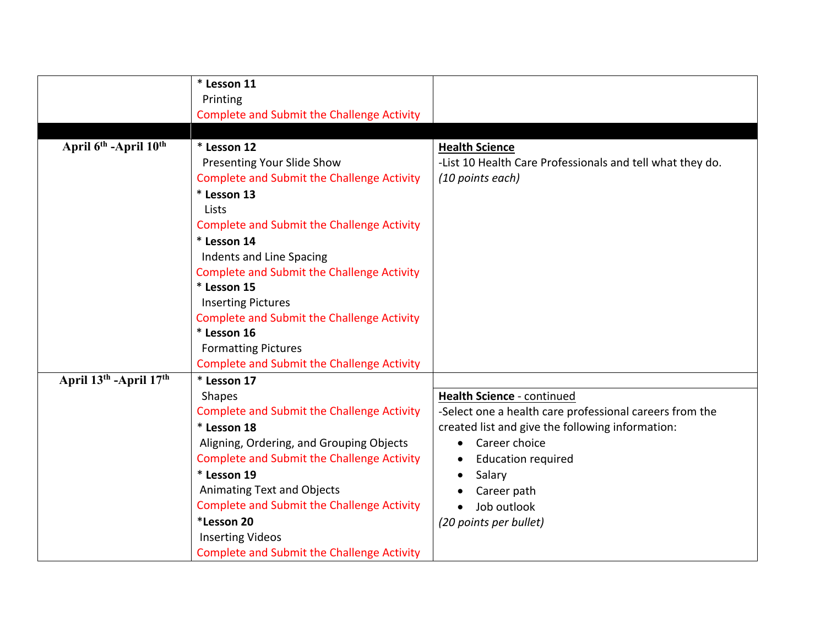|                                               | * Lesson 11                                       |                                                           |
|-----------------------------------------------|---------------------------------------------------|-----------------------------------------------------------|
|                                               | Printing                                          |                                                           |
|                                               | <b>Complete and Submit the Challenge Activity</b> |                                                           |
|                                               |                                                   |                                                           |
| April 6 <sup>th</sup> -April 10 <sup>th</sup> | * Lesson 12                                       | <b>Health Science</b>                                     |
|                                               | Presenting Your Slide Show                        | -List 10 Health Care Professionals and tell what they do. |
|                                               | <b>Complete and Submit the Challenge Activity</b> | (10 points each)                                          |
|                                               | * Lesson 13                                       |                                                           |
|                                               | Lists                                             |                                                           |
|                                               | <b>Complete and Submit the Challenge Activity</b> |                                                           |
|                                               | * Lesson 14                                       |                                                           |
|                                               | Indents and Line Spacing                          |                                                           |
|                                               | <b>Complete and Submit the Challenge Activity</b> |                                                           |
|                                               | * Lesson 15                                       |                                                           |
|                                               | <b>Inserting Pictures</b>                         |                                                           |
|                                               | <b>Complete and Submit the Challenge Activity</b> |                                                           |
|                                               | * Lesson 16                                       |                                                           |
|                                               | <b>Formatting Pictures</b>                        |                                                           |
|                                               | <b>Complete and Submit the Challenge Activity</b> |                                                           |
| April 13th - April 17th                       | * Lesson 17                                       |                                                           |
|                                               | <b>Shapes</b>                                     | Health Science - continued                                |
|                                               | <b>Complete and Submit the Challenge Activity</b> | -Select one a health care professional careers from the   |
|                                               | * Lesson 18                                       | created list and give the following information:          |
|                                               | Aligning, Ordering, and Grouping Objects          | Career choice<br>$\bullet$                                |
|                                               | <b>Complete and Submit the Challenge Activity</b> | <b>Education required</b>                                 |
|                                               | * Lesson 19                                       | Salary                                                    |
|                                               | Animating Text and Objects                        | Career path                                               |
|                                               | <b>Complete and Submit the Challenge Activity</b> | Job outlook                                               |
|                                               | *Lesson 20                                        | (20 points per bullet)                                    |
|                                               | <b>Inserting Videos</b>                           |                                                           |
|                                               | Complete and Submit the Challenge Activity        |                                                           |